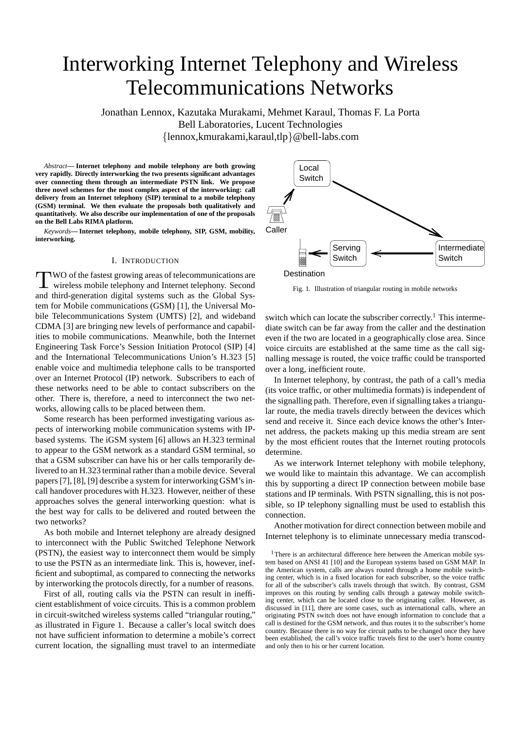# Interworking Internet Telephony and Wireless Telecommunications Networks

Jonathan Lennox, Kazutaka Murakami, Mehmet Karaul, Thomas F. La Porta Bell Laboratories, Lucent Technologies {lennox,kmurakami,karaul,tlp}@bell-labs.com

*Abstract***— Internet telephony and mobile telephony are both growing very rapidly. Directly interworking the two presents significant advantages over connecting them through an intermediate PSTN link. We propose three novel schemes for the most complex aspect of the interworking: call delivery from an Internet telephony (SIP) terminal to a mobile telephony (GSM) terminal. We then evaluate the proposals both qualitatively and quantitatively. We also describe our implementation of one of the proposals on the Bell Labs RIMA platform.**

*Keywords***— Internet telephony, mobile telephony, SIP, GSM, mobility, interworking.**

## I. INTRODUCTION

TWO of the fastest growing areas of telecommunications are wireless mobile telephony and Internet telephony. Second and third-generation digital systems such as the Global System for Mobile communications (GSM) [1], the Universal Mobile Telecommunications System (UMTS) [2], and wideband CDMA [3] are bringing new levels of performance and capabilities to mobile communications. Meanwhile, both the Internet Engineering Task Force's Session Initiation Protocol (SIP) [4] and the International Telecommunications Union's H.323 [5] enable voice and multimedia telephone calls to be transported over an Internet Protocol (IP) network. Subscribers to each of these networks need to be able to contact subscribers on the other. There is, therefore, a need to interconnect the two networks, allowing calls to be placed between them.

Some research has been performed investigating various aspects of interworking mobile communication systems with IPbased systems. The iGSM system [6] allows an H.323 terminal to appear to the GSM network as a standard GSM terminal, so that a GSM subscriber can have his or her calls temporarily delivered to an H.323 terminal rather than a mobile device. Several papers [7], [8], [9] describe a system for interworking GSM's incall handover procedures with H.323. However, neither of these approaches solves the general interworking question: what is the best way for calls to be delivered and routed between the two networks?

As both mobile and Internet telephony are already designed to interconnect with the Public Switched Telephone Network (PSTN), the easiest way to interconnect them would be simply to use the PSTN as an intermediate link. This is, however, inefficient and suboptimal, as compared to connecting the networks by interworking the protocols directly, for a number of reasons.

First of all, routing calls via the PSTN can result in inefficient establishment of voice circuits. This is a common problem in circuit-switched wireless systems called "triangular routing," as illustrated in Figure 1. Because a caller's local switch does not have sufficient information to determine a mobile's correct current location, the signalling must travel to an intermediate



Fig. 1. Illustration of triangular routing in mobile networks

switch which can locate the subscriber correctly.<sup>1</sup> This intermediate switch can be far away from the caller and the destination even if the two are located in a geographically close area. Since voice circuits are established at the same time as the call signalling message is routed, the voice traffic could be transported over a long, inefficient route.

In Internet telephony, by contrast, the path of a call's media (its voice traffic, or other multimedia formats) is independent of the signalling path. Therefore, even if signalling takes a triangular route, the media travels directly between the devices which send and receive it. Since each device knows the other's Internet address, the packets making up this media stream are sent by the most efficient routes that the Internet routing protocols determine.

As we interwork Internet telephony with mobile telephony, we would like to maintain this advantage. We can accomplish this by supporting a direct IP connection between mobile base stations and IP terminals. With PSTN signalling, this is not possible, so IP telephony signalling must be used to establish this connection.

Another motivation for direct connection between mobile and Internet telephony is to eliminate unnecessary media transcod-

<sup>&</sup>lt;sup>1</sup>There is an architectural difference here between the American mobile system based on ANSI 41 [10] and the European systems based on GSM MAP. In the American system, calls are always routed through a home mobile switching center, which is in a fixed location for each subscriber, so the voice traffic for all of the subscriber's calls travels through that switch. By contrast, GSM improves on this routing by sending calls through a gateway mobile switching center, which can be located close to the originating caller. However, as discussed in [11], there are some cases, such as international calls, where an originating PSTN switch does not have enough information to conclude that a call is destined for the GSM network, and thus routes it to the subscriber's home country. Because there is no way for circuit paths to be changed once they have been established, the call's voice traffic travels first to the user's home country and only then to his or her current location.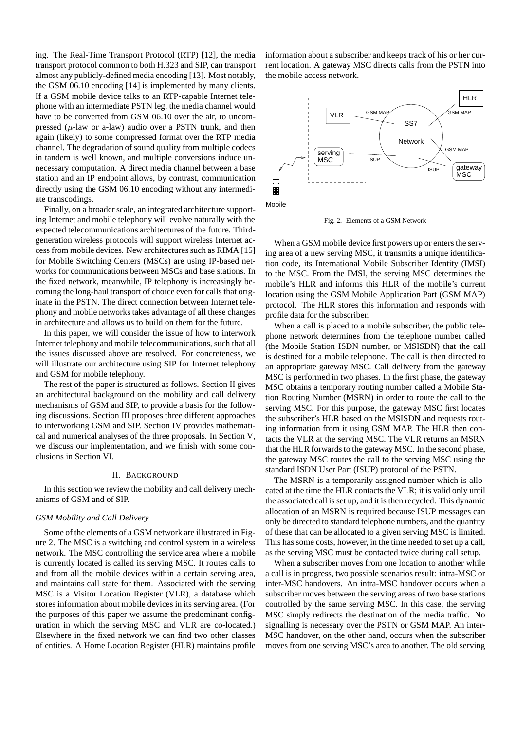ing. The Real-Time Transport Protocol (RTP) [12], the media transport protocol common to both H.323 and SIP, can transport almost any publicly-defined media encoding [13]. Most notably, the GSM 06.10 encoding [14] is implemented by many clients. If a GSM mobile device talks to an RTP-capable Internet telephone with an intermediate PSTN leg, the media channel would have to be converted from GSM 06.10 over the air, to uncompressed ( $\mu$ -law or a-law) audio over a PSTN trunk, and then again (likely) to some compressed format over the RTP media channel. The degradation of sound quality from multiple codecs in tandem is well known, and multiple conversions induce unnecessary computation. A direct media channel between a base station and an IP endpoint allows, by contrast, communication directly using the GSM 06.10 encoding without any intermediate transcodings.

Finally, on a broader scale, an integrated architecture supporting Internet and mobile telephony will evolve naturally with the expected telecommunications architectures of the future. Thirdgeneration wireless protocols will support wireless Internet access from mobile devices. New architectures such as RIMA [15] for Mobile Switching Centers (MSCs) are using IP-based networks for communications between MSCs and base stations. In the fixed network, meanwhile, IP telephony is increasingly becoming the long-haul transport of choice even for calls that originate in the PSTN. The direct connection between Internet telephony and mobile networks takes advantage of all these changes in architecture and allows us to build on them for the future.

In this paper, we will consider the issue of how to interwork Internet telephony and mobile telecommunications, such that all the issues discussed above are resolved. For concreteness, we will illustrate our architecture using SIP for Internet telephony and GSM for mobile telephony.

The rest of the paper is structured as follows. Section II gives an architectural background on the mobility and call delivery mechanisms of GSM and SIP, to provide a basis for the following discussions. Section III proposes three different approaches to interworking GSM and SIP. Section IV provides mathematical and numerical analyses of the three proposals. In Section V, we discuss our implementation, and we finish with some conclusions in Section VI.

#### II. BACKGROUND

In this section we review the mobility and call delivery mechanisms of GSM and of SIP.

#### *GSM Mobility and Call Delivery*

Some of the elements of a GSM network are illustrated in Figure 2. The MSC is a switching and control system in a wireless network. The MSC controlling the service area where a mobile is currently located is called its serving MSC. It routes calls to and from all the mobile devices within a certain serving area, and maintains call state for them. Associated with the serving MSC is a Visitor Location Register (VLR), a database which stores information about mobile devices in its serving area. (For the purposes of this paper we assume the predominant configuration in which the serving MSC and VLR are co-located.) Elsewhere in the fixed network we can find two other classes of entities. A Home Location Register (HLR) maintains profile

information about a subscriber and keeps track of his or her current location. A gateway MSC directs calls from the PSTN into the mobile access network.



Fig. 2. Elements of a GSM Network

When a GSM mobile device first powers up or enters the serving area of a new serving MSC, it transmits a unique identification code, its International Mobile Subscriber Identity (IMSI) to the MSC. From the IMSI, the serving MSC determines the mobile's HLR and informs this HLR of the mobile's current location using the GSM Mobile Application Part (GSM MAP) protocol. The HLR stores this information and responds with profile data for the subscriber.

When a call is placed to a mobile subscriber, the public telephone network determines from the telephone number called (the Mobile Station ISDN number, or MSISDN) that the call is destined for a mobile telephone. The call is then directed to an appropriate gateway MSC. Call delivery from the gateway MSC is performed in two phases. In the first phase, the gateway MSC obtains a temporary routing number called a Mobile Station Routing Number (MSRN) in order to route the call to the serving MSC. For this purpose, the gateway MSC first locates the subscriber's HLR based on the MSISDN and requests routing information from it using GSM MAP. The HLR then contacts the VLR at the serving MSC. The VLR returns an MSRN that the HLR forwards to the gateway MSC. In the second phase, the gateway MSC routes the call to the serving MSC using the standard ISDN User Part (ISUP) protocol of the PSTN.

The MSRN is a temporarily assigned number which is allocated at the time the HLR contacts the VLR; it is valid only until the associated call is set up, and it is then recycled. This dynamic allocation of an MSRN is required because ISUP messages can only be directed to standard telephone numbers, and the quantity of these that can be allocated to a given serving MSC is limited. This has some costs, however, in the time needed to set up a call, as the serving MSC must be contacted twice during call setup.

When a subscriber moves from one location to another while a call is in progress, two possible scenarios result: intra-MSC or inter-MSC handovers. An intra-MSC handover occurs when a subscriber moves between the serving areas of two base stations controlled by the same serving MSC. In this case, the serving MSC simply redirects the destination of the media traffic. No signalling is necessary over the PSTN or GSM MAP. An inter-MSC handover, on the other hand, occurs when the subscriber moves from one serving MSC's area to another. The old serving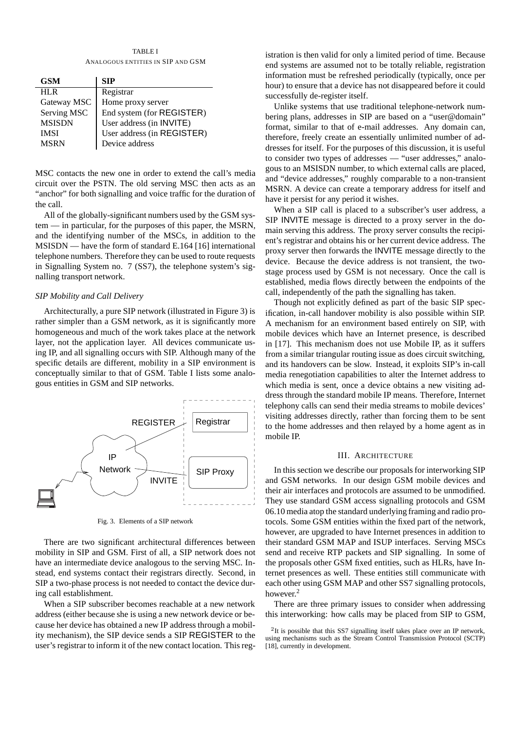TABLE I ANALOGOUS ENTITIES IN SIP AND GSM

| <b>GSM</b>    | SIP                        |
|---------------|----------------------------|
| HL R          | Registrar                  |
| Gateway MSC   | Home proxy server          |
| Serving MSC   | End system (for REGISTER)  |
| <b>MSISDN</b> | User address (in INVITE)   |
| <b>IMSI</b>   | User address (in REGISTER) |
| <b>MSRN</b>   | Device address             |

MSC contacts the new one in order to extend the call's media circuit over the PSTN. The old serving MSC then acts as an "anchor" for both signalling and voice traffic for the duration of the call.

All of the globally-significant numbers used by the GSM system — in particular, for the purposes of this paper, the MSRN, and the identifying number of the MSCs, in addition to the MSISDN — have the form of standard E.164 [16] international telephone numbers. Therefore they can be used to route requests in Signalling System no. 7 (SS7), the telephone system's signalling transport network.

#### *SIP Mobility and Call Delivery*

Architecturally, a pure SIP network (illustrated in Figure 3) is rather simpler than a GSM network, as it is significantly more homogeneous and much of the work takes place at the network layer, not the application layer. All devices communicate using IP, and all signalling occurs with SIP. Although many of the specific details are different, mobility in a SIP environment is conceptually similar to that of GSM. Table I lists some analogous entities in GSM and SIP networks.



Fig. 3. Elements of a SIP network

There are two significant architectural differences between mobility in SIP and GSM. First of all, a SIP network does not have an intermediate device analogous to the serving MSC. Instead, end systems contact their registrars directly. Second, in SIP a two-phase process is not needed to contact the device during call establishment.

When a SIP subscriber becomes reachable at a new network address (either because she is using a new network device or because her device has obtained a new IP address through a mobility mechanism), the SIP device sends a SIP REGISTER to the user's registrar to inform it of the new contact location. This registration is then valid for only a limited period of time. Because end systems are assumed not to be totally reliable, registration information must be refreshed periodically (typically, once per hour) to ensure that a device has not disappeared before it could successfully de-register itself.

Unlike systems that use traditional telephone-network numbering plans, addresses in SIP are based on a "user@domain" format, similar to that of e-mail addresses. Any domain can, therefore, freely create an essentially unlimited number of addresses for itself. For the purposes of this discussion, it is useful to consider two types of addresses — "user addresses," analogous to an MSISDN number, to which external calls are placed, and "device addresses," roughly comparable to a non-transient MSRN. A device can create a temporary address for itself and have it persist for any period it wishes.

When a SIP call is placed to a subscriber's user address, a SIP INVITE message is directed to a proxy server in the domain serving this address. The proxy server consults the recipient's registrar and obtains his or her current device address. The proxy server then forwards the INVITE message directly to the device. Because the device address is not transient, the twostage process used by GSM is not necessary. Once the call is established, media flows directly between the endpoints of the call, independently of the path the signalling has taken.

Though not explicitly defined as part of the basic SIP specification, in-call handover mobility is also possible within SIP. A mechanism for an environment based entirely on SIP, with mobile devices which have an Internet presence, is described in [17]. This mechanism does not use Mobile IP, as it suffers from a similar triangular routing issue as does circuit switching, and its handovers can be slow. Instead, it exploits SIP's in-call media renegotiation capabilities to alter the Internet address to which media is sent, once a device obtains a new visiting address through the standard mobile IP means. Therefore, Internet telephony calls can send their media streams to mobile devices' visiting addresses directly, rather than forcing them to be sent to the home addresses and then relayed by a home agent as in mobile IP.

#### III. ARCHITECTURE

In this section we describe our proposals for interworking SIP and GSM networks. In our design GSM mobile devices and their air interfaces and protocols are assumed to be unmodified. They use standard GSM access signalling protocols and GSM 06.10 media atop the standard underlying framing and radio protocols. Some GSM entities within the fixed part of the network, however, are upgraded to have Internet presences in addition to their standard GSM MAP and ISUP interfaces. Serving MSCs send and receive RTP packets and SIP signalling. In some of the proposals other GSM fixed entities, such as HLRs, have Internet presences as well. These entities still communicate with each other using GSM MAP and other SS7 signalling protocols, however.<sup>2</sup>

There are three primary issues to consider when addressing this interworking: how calls may be placed from SIP to GSM,

<sup>&</sup>lt;sup>2</sup>It is possible that this SS7 signalling itself takes place over an IP network, using mechanisms such as the Stream Control Transmission Protocol (SCTP) [18], currently in development.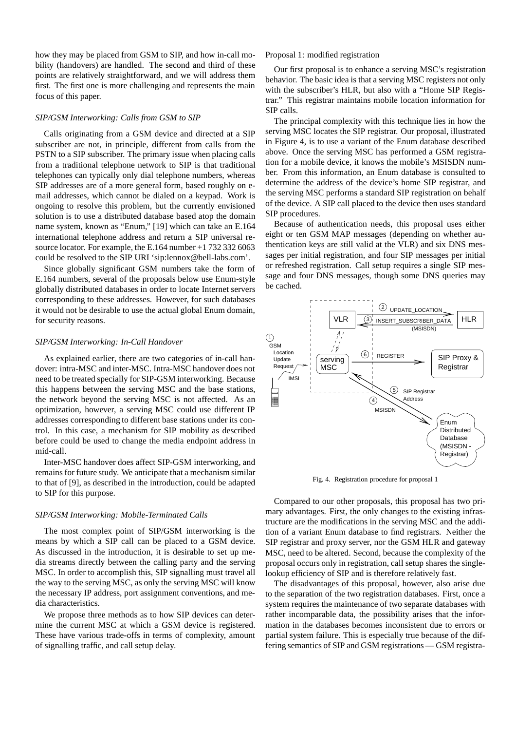how they may be placed from GSM to SIP, and how in-call mobility (handovers) are handled. The second and third of these points are relatively straightforward, and we will address them first. The first one is more challenging and represents the main focus of this paper.

#### *SIP/GSM Interworking: Calls from GSM to SIP*

Calls originating from a GSM device and directed at a SIP subscriber are not, in principle, different from calls from the PSTN to a SIP subscriber. The primary issue when placing calls from a traditional telephone network to SIP is that traditional telephones can typically only dial telephone numbers, whereas SIP addresses are of a more general form, based roughly on email addresses, which cannot be dialed on a keypad. Work is ongoing to resolve this problem, but the currently envisioned solution is to use a distributed database based atop the domain name system, known as "Enum," [19] which can take an E.164 international telephone address and return a SIP universal resource locator. For example, the E.164 number +1 732 332 6063 could be resolved to the SIP URI 'sip:lennox@bell-labs.com'.

Since globally significant GSM numbers take the form of E.164 numbers, several of the proposals below use Enum-style globally distributed databases in order to locate Internet servers corresponding to these addresses. However, for such databases it would not be desirable to use the actual global Enum domain, for security reasons.

#### *SIP/GSM Interworking: In-Call Handover*

As explained earlier, there are two categories of in-call handover: intra-MSC and inter-MSC. Intra-MSC handover does not need to be treated specially for SIP-GSM interworking. Because this happens between the serving MSC and the base stations, the network beyond the serving MSC is not affected. As an optimization, however, a serving MSC could use different IP addresses corresponding to different base stations under its control. In this case, a mechanism for SIP mobility as described before could be used to change the media endpoint address in mid-call.

Inter-MSC handover does affect SIP-GSM interworking, and remains for future study. We anticipate that a mechanism similar to that of [9], as described in the introduction, could be adapted to SIP for this purpose.

#### *SIP/GSM Interworking: Mobile-Terminated Calls*

The most complex point of SIP/GSM interworking is the means by which a SIP call can be placed to a GSM device. As discussed in the introduction, it is desirable to set up media streams directly between the calling party and the serving MSC. In order to accomplish this, SIP signalling must travel all the way to the serving MSC, as only the serving MSC will know the necessary IP address, port assignment conventions, and media characteristics.

We propose three methods as to how SIP devices can determine the current MSC at which a GSM device is registered. These have various trade-offs in terms of complexity, amount of signalling traffic, and call setup delay.

#### Proposal 1: modified registration

Our first proposal is to enhance a serving MSC's registration behavior. The basic idea is that a serving MSC registers not only with the subscriber's HLR, but also with a "Home SIP Registrar." This registrar maintains mobile location information for SIP calls.

The principal complexity with this technique lies in how the serving MSC locates the SIP registrar. Our proposal, illustrated in Figure 4, is to use a variant of the Enum database described above. Once the serving MSC has performed a GSM registration for a mobile device, it knows the mobile's MSISDN number. From this information, an Enum database is consulted to determine the address of the device's home SIP registrar, and the serving MSC performs a standard SIP registration on behalf of the device. A SIP call placed to the device then uses standard SIP procedures.

Because of authentication needs, this proposal uses either eight or ten GSM MAP messages (depending on whether authentication keys are still valid at the VLR) and six DNS messages per initial registration, and four SIP messages per initial or refreshed registration. Call setup requires a single SIP message and four DNS messages, though some DNS queries may be cached.



Fig. 4. Registration procedure for proposal 1

Compared to our other proposals, this proposal has two primary advantages. First, the only changes to the existing infrastructure are the modifications in the serving MSC and the addition of a variant Enum database to find registrars. Neither the SIP registrar and proxy server, nor the GSM HLR and gateway MSC, need to be altered. Second, because the complexity of the proposal occurs only in registration, call setup shares the singlelookup efficiency of SIP and is therefore relatively fast.

The disadvantages of this proposal, however, also arise due to the separation of the two registration databases. First, once a system requires the maintenance of two separate databases with rather incomparable data, the possibility arises that the information in the databases becomes inconsistent due to errors or partial system failure. This is especially true because of the differing semantics of SIP and GSM registrations — GSM registra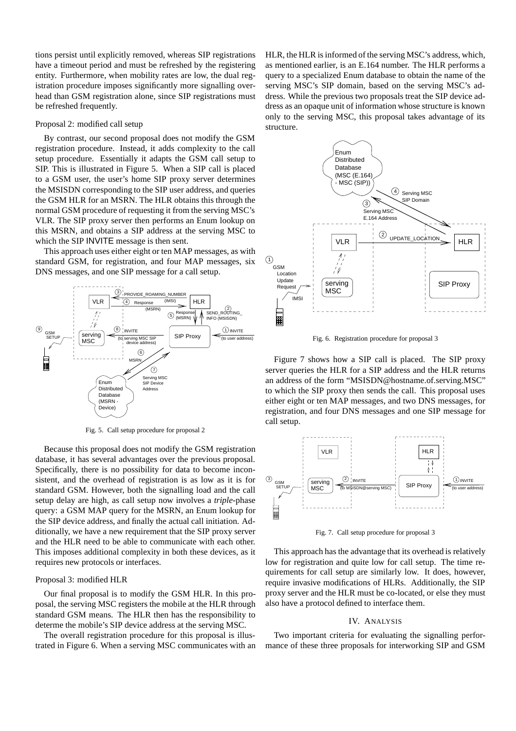tions persist until explicitly removed, whereas SIP registrations have a timeout period and must be refreshed by the registering entity. Furthermore, when mobility rates are low, the dual registration procedure imposes significantly more signalling overhead than GSM registration alone, since SIP registrations must be refreshed frequently.

#### Proposal 2: modified call setup

By contrast, our second proposal does not modify the GSM registration procedure. Instead, it adds complexity to the call setup procedure. Essentially it adapts the GSM call setup to SIP. This is illustrated in Figure 5. When a SIP call is placed to a GSM user, the user's home SIP proxy server determines the MSISDN corresponding to the SIP user address, and queries the GSM HLR for an MSRN. The HLR obtains this through the normal GSM procedure of requesting it from the serving MSC's VLR. The SIP proxy server then performs an Enum lookup on this MSRN, and obtains a SIP address at the serving MSC to which the SIP INVITE message is then sent.

This approach uses either eight or ten MAP messages, as with standard GSM, for registration, and four MAP messages, six DNS messages, and one SIP message for a call setup.



Fig. 5. Call setup procedure for proposal 2

Because this proposal does not modify the GSM registration database, it has several advantages over the previous proposal. Specifically, there is no possibility for data to become inconsistent, and the overhead of registration is as low as it is for standard GSM. However, both the signalling load and the call setup delay are high, as call setup now involves a *triple*-phase query: a GSM MAP query for the MSRN, an Enum lookup for the SIP device address, and finally the actual call initiation. Additionally, we have a new requirement that the SIP proxy server and the HLR need to be able to communicate with each other. This imposes additional complexity in both these devices, as it requires new protocols or interfaces.

#### Proposal 3: modified HLR

Our final proposal is to modify the GSM HLR. In this proposal, the serving MSC registers the mobile at the HLR through standard GSM means. The HLR then has the responsibility to determe the mobile's SIP device address at the serving MSC.

The overall registration procedure for this proposal is illustrated in Figure 6. When a serving MSC communicates with an HLR, the HLR is informed of the serving MSC's address, which, as mentioned earlier, is an E.164 number. The HLR performs a query to a specialized Enum database to obtain the name of the serving MSC's SIP domain, based on the serving MSC's address. While the previous two proposals treat the SIP device address as an opaque unit of information whose structure is known only to the serving MSC, this proposal takes advantage of its structure.



Fig. 6. Registration procedure for proposal 3

Figure 7 shows how a SIP call is placed. The SIP proxy server queries the HLR for a SIP address and the HLR returns an address of the form "MSISDN@hostname.of.serving.MSC" to which the SIP proxy then sends the call. This proposal uses either eight or ten MAP messages, and two DNS messages, for registration, and four DNS messages and one SIP message for call setup.



Fig. 7. Call setup procedure for proposal 3

This approach has the advantage that its overhead is relatively low for registration and quite low for call setup. The time requirements for call setup are similarly low. It does, however, require invasive modifications of HLRs. Additionally, the SIP proxy server and the HLR must be co-located, or else they must also have a protocol defined to interface them.

#### IV. ANALYSIS

Two important criteria for evaluating the signalling performance of these three proposals for interworking SIP and GSM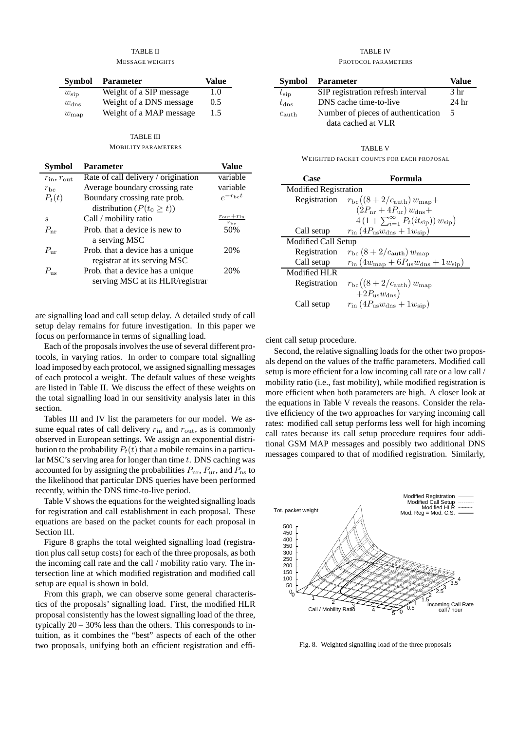#### TABLE II MESSAGE WEIGHTS

| Symbol         | <b>Parameter</b>        | Value |
|----------------|-------------------------|-------|
| $w_{\rm sin}$  | Weight of a SIP message | 1.0   |
| $w_{\rm{dns}}$ | Weight of a DNS message | 0.5   |
| $w_{\rm map}$  | Weight of a MAP message | 1.5   |

# TABLE III

#### MOBILITY PARAMETERS

| <b>Symbol</b>             | <b>Parameter</b>                    | Value                                    |
|---------------------------|-------------------------------------|------------------------------------------|
| $r_{\rm in}, r_{\rm out}$ | Rate of call delivery / origination | variable                                 |
| $r_{\rm bc}$              | Average boundary crossing rate      | variable                                 |
| $P_t(t)$                  | Boundary crossing rate prob.        | $e^{-r_{\rm bc}t}$                       |
|                           | distribution ( $P(t_0 \geq t)$ )    |                                          |
| S                         | Call / mobility ratio               | $r_{\rm out}+r_{\rm in}$<br>$r_{\rm bc}$ |
| $P_{\rm nr}$              | Prob. that a device is new to       | 50%                                      |
|                           | a serving MSC                       |                                          |
| $P_{\rm ur}$              | Prob. that a device has a unique    | 20%                                      |
|                           | registrar at its serving MSC        |                                          |
| $P_{\rm us}$              | Prob. that a device has a unique    | 20%                                      |
|                           | serving MSC at its HLR/registrar    |                                          |

are signalling load and call setup delay. A detailed study of call setup delay remains for future investigation. In this paper we focus on performance in terms of signalling load.

Each of the proposals involves the use of several different protocols, in varying ratios. In order to compare total signalling load imposed by each protocol, we assigned signalling messages of each protocol a weight. The default values of these weights are listed in Table II. We discuss the effect of these weights on the total signalling load in our sensitivity analysis later in this section.

Tables III and IV list the parameters for our model. We assume equal rates of call delivery  $r_{\text{in}}$  and  $r_{\text{out}}$ , as is commonly observed in European settings. We assign an exponential distribution to the probability  $P_t(t)$  that a mobile remains in a particular MSC's serving area for longer than time  $t$ . DNS caching was accounted for by assigning the probabilities  $P_{\text{nr}}, P_{\text{ur}},$  and  $P_{\text{ns}}$  to the likelihood that particular DNS queries have been performed recently, within the DNS time-to-live period.

Table V shows the equations for the weighted signalling loads for registration and call establishment in each proposal. These equations are based on the packet counts for each proposal in Section III.

Figure 8 graphs the total weighted signalling load (registration plus call setup costs) for each of the three proposals, as both the incoming call rate and the call / mobility ratio vary. The intersection line at which modified registration and modified call setup are equal is shown in bold.

From this graph, we can observe some general characteristics of the proposals' signalling load. First, the modified HLR proposal consistently has the lowest signalling load of the three, typically 20 – 30% less than the others. This corresponds to intuition, as it combines the "best" aspects of each of the other two proposals, unifying both an efficient registration and effi-

#### TABLE IV PROTOCOL PARAMETERS

| Symbol            | Parameter                          | Value            |
|-------------------|------------------------------------|------------------|
| $t_{\rm sip}$     | SIP registration refresh interval  | 3 hr             |
| $t_{\rm{dns}}$    | DNS cache time-to-live             | 24 <sub>hr</sub> |
| $c_{\text{auth}}$ | Number of pieces of authentication |                  |
|                   | data cached at VLR                 |                  |

TABLE V WEIGHTED PACKET COUNTS FOR EACH PROPOSAL

| Case                         | Formula                                                                          |  |
|------------------------------|----------------------------------------------------------------------------------|--|
| <b>Modified Registration</b> |                                                                                  |  |
| Registration                 | $r_{\rm bc}((8+2/c_{\rmauth}) w_{\rm map}+$                                      |  |
|                              | $(2P_{\rm nr}+4P_{\rm ur})\,w_{\rm dns}+$                                        |  |
|                              | $4(1+\sum_{i=1}^{\infty} P_t(it_{\rm sip})) w_{\rm sip})$                        |  |
| Call setup                   | $r_{\rm in}$ (4 $P_{\rm us}$ $w_{\rm dms}$ + 1 $w_{\rm sip}$ )                   |  |
| Modified Call Setup          |                                                                                  |  |
| Registration                 | $r_{\rm bc}$ (8 + 2/ $c_{\rmauth}$ ) $w_{\rm map}$                               |  |
| Call setup                   | $r_{\rm in}$ (4 $w_{\rm map}$ + 6 $P_{\rm us}$ $w_{\rm dms}$ + 1 $w_{\rm sip}$ ) |  |
| Modified HLR                 |                                                                                  |  |
| Registration                 | $r_{\rm bc}((8+2/c_{\rmauth}) w_{\rm map})$                                      |  |
|                              | $+2P_{us}w_{\rm{dns}}$                                                           |  |
| Call setup                   | $r_{\rm in}$ (4 $P_{\rm us}$ $w_{\rm dms}$ + 1 $w_{\rm sin}$ )                   |  |

cient call setup procedure.

Second, the relative signalling loads for the other two proposals depend on the values of the traffic parameters. Modified call setup is more efficient for a low incoming call rate or a low call / mobility ratio (i.e., fast mobility), while modified registration is more efficient when both parameters are high. A closer look at the equations in Table V reveals the reasons. Consider the relative efficiency of the two approaches for varying incoming call rates: modified call setup performs less well for high incoming call rates because its call setup procedure requires four additional GSM MAP messages and possibly two additional DNS messages compared to that of modified registration. Similarly,



Fig. 8. Weighted signalling load of the three proposals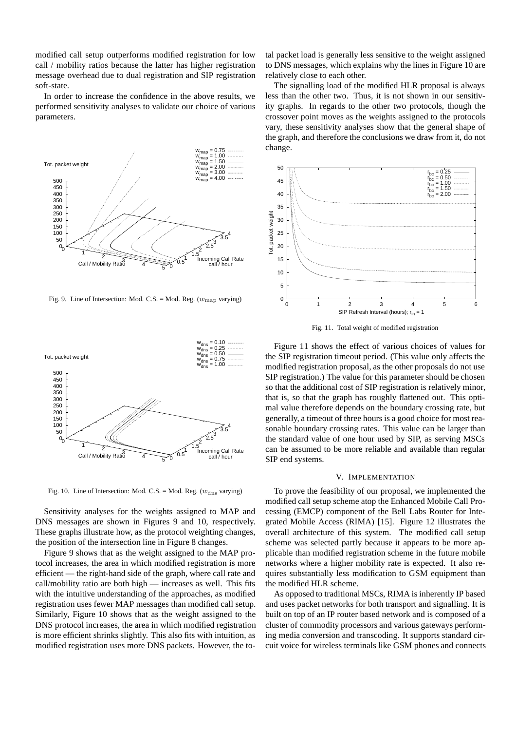modified call setup outperforms modified registration for low call / mobility ratios because the latter has higher registration message overhead due to dual registration and SIP registration soft-state.

In order to increase the confidence in the above results, we performed sensitivity analyses to validate our choice of various parameters.



Fig. 9. Line of Intersection: Mod. C.S. = Mod. Reg.  $(w_{\text{map}})$  varying)



Fig. 10. Line of Intersection: Mod. C.S. = Mod. Reg. ( $w_{\text{dns}}$  varying)

Sensitivity analyses for the weights assigned to MAP and DNS messages are shown in Figures 9 and 10, respectively. These graphs illustrate how, as the protocol weighting changes, the position of the intersection line in Figure 8 changes.

Figure 9 shows that as the weight assigned to the MAP protocol increases, the area in which modified registration is more efficient — the right-hand side of the graph, where call rate and call/mobility ratio are both high — increases as well. This fits with the intuitive understanding of the approaches, as modified registration uses fewer MAP messages than modified call setup. Similarly, Figure 10 shows that as the weight assigned to the DNS protocol increases, the area in which modified registration is more efficient shrinks slightly. This also fits with intuition, as modified registration uses more DNS packets. However, the total packet load is generally less sensitive to the weight assigned to DNS messages, which explains why the lines in Figure 10 are relatively close to each other.

The signalling load of the modified HLR proposal is always less than the other two. Thus, it is not shown in our sensitivity graphs. In regards to the other two protocols, though the crossover point moves as the weights assigned to the protocols vary, these sensitivity analyses show that the general shape of the graph, and therefore the conclusions we draw from it, do not change.



Fig. 11. Total weight of modified registration

Figure 11 shows the effect of various choices of values for the SIP registration timeout period. (This value only affects the modified registration proposal, as the other proposals do not use SIP registration.) The value for this parameter should be chosen so that the additional cost of SIP registration is relatively minor, that is, so that the graph has roughly flattened out. This optimal value therefore depends on the boundary crossing rate, but generally, a timeout of three hours is a good choice for most reasonable boundary crossing rates. This value can be larger than the standard value of one hour used by SIP, as serving MSCs can be assumed to be more reliable and available than regular SIP end systems.

#### V. IMPLEMENTATION

To prove the feasibility of our proposal, we implemented the modified call setup scheme atop the Enhanced Mobile Call Processing (EMCP) component of the Bell Labs Router for Integrated Mobile Access (RIMA) [15]. Figure 12 illustrates the overall architecture of this system. The modified call setup scheme was selected partly because it appears to be more applicable than modified registration scheme in the future mobile networks where a higher mobility rate is expected. It also requires substantially less modification to GSM equipment than the modified HLR scheme.

As opposed to traditional MSCs, RIMA is inherently IP based and uses packet networks for both transport and signalling. It is built on top of an IP router based network and is composed of a cluster of commodity processors and various gateways performing media conversion and transcoding. It supports standard circuit voice for wireless terminals like GSM phones and connects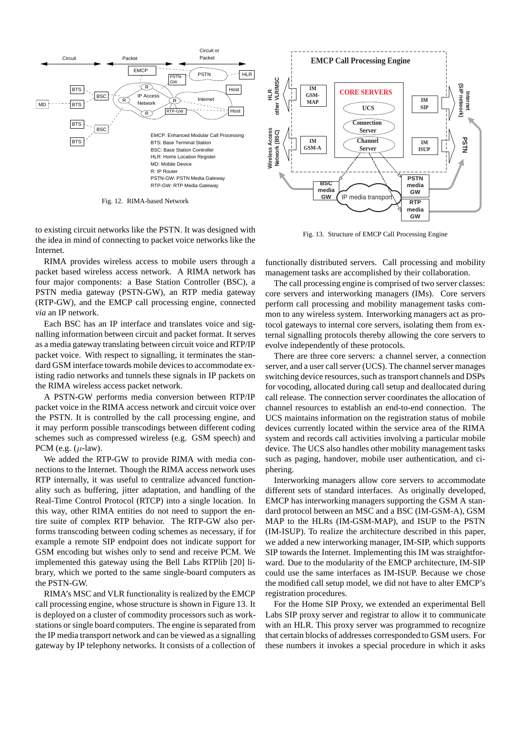

Fig. 12. RIMA-based Network

to existing circuit networks like the PSTN. It was designed with the idea in mind of connecting to packet voice networks like the Internet.

RIMA provides wireless access to mobile users through a packet based wireless access network. A RIMA network has four major components: a Base Station Controller (BSC), a PSTN media gateway (PSTN-GW), an RTP media gateway (RTP-GW), and the EMCP call processing engine, connected *via* an IP network.

Each BSC has an IP interface and translates voice and signalling information between circuit and packet format. It serves as a media gateway translating between circuit voice and RTP/IP packet voice. With respect to signalling, it terminates the standard GSM interface towards mobile devices to accommodate existing radio networks and tunnels these signals in IP packets on the RIMA wireless access packet network.

A PSTN-GW performs media conversion between RTP/IP packet voice in the RIMA access network and circuit voice over the PSTN. It is controlled by the call processing engine, and it may perform possible transcodings between different coding schemes such as compressed wireless (e.g. GSM speech) and PCM (e.g.  $(\mu$ -law).

We added the RTP-GW to provide RIMA with media connections to the Internet. Though the RIMA access network uses RTP internally, it was useful to centralize advanced functionality such as buffering, jitter adaptation, and handling of the Real-Time Control Protocol (RTCP) into a single location. In this way, other RIMA entities do not need to support the entire suite of complex RTP behavior. The RTP-GW also performs transcoding between coding schemes as necessary, if for example a remote SIP endpoint does not indicate support for GSM encoding but wishes only to send and receive PCM. We implemented this gateway using the Bell Labs RTPlib [20] library, which we ported to the same single-board computers as the PSTN-GW.

RIMA's MSC and VLR functionality is realized by the EMCP call processing engine, whose structure is shown in Figure 13. It is deployed on a cluster of commodity processors such as workstations or single board computers. The engine is separated from the IP media transport network and can be viewed as a signalling gateway by IP telephony networks. It consists of a collection of



Fig. 13. Structure of EMCP Call Processing Engine

functionally distributed servers. Call processing and mobility management tasks are accomplished by their collaboration.

The call processing engine is comprised of two server classes: core servers and interworking managers (IMs). Core servers perform call processing and mobility management tasks common to any wireless system. Interworking managers act as protocol gateways to internal core servers, isolating them from external signalling protocols thereby allowing the core servers to evolve independently of these protocols.

There are three core servers: a channel server, a connection server, and a user call server (UCS). The channel server manages switching device resources, such as transport channels and DSPs for vocoding, allocated during call setup and deallocated during call release. The connection server coordinates the allocation of channel resources to establish an end-to-end connection. The UCS maintains information on the registration status of mobile devices currently located within the service area of the RIMA system and records call activities involving a particular mobile device. The UCS also handles other mobility management tasks such as paging, handover, mobile user authentication, and ciphering.

Interworking managers allow core servers to accommodate different sets of standard interfaces. As originally developed, EMCP has interworking managers supporting the GSM A standard protocol between an MSC and a BSC (IM-GSM-A), GSM MAP to the HLRs (IM-GSM-MAP), and ISUP to the PSTN (IM-ISUP). To realize the architecture described in this paper, we added a new interworking manager, IM-SIP, which supports SIP towards the Internet. Implementing this IM was straightforward. Due to the modularity of the EMCP architecture, IM-SIP could use the same interfaces as IM-ISUP. Because we chose the modified call setup model, we did not have to alter EMCP's registration procedures.

For the Home SIP Proxy, we extended an experimental Bell Labs SIP proxy server and registrar to allow it to communicate with an HLR. This proxy server was programmed to recognize that certain blocks of addresses corresponded to GSM users. For these numbers it invokes a special procedure in which it asks